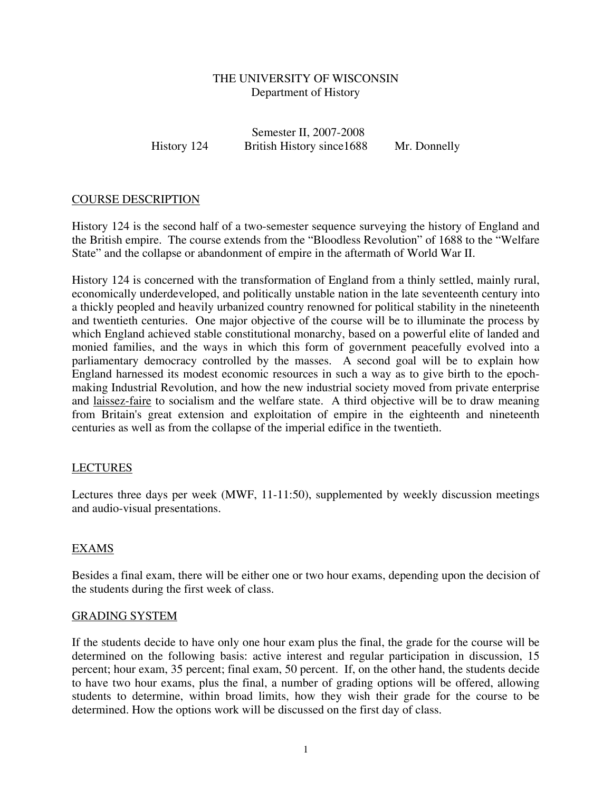## THE UNIVERSITY OF WISCONSIN Department of History

Semester II, 2007-2008 History 124 British History since1688 Mr. Donnelly

## COURSE DESCRIPTION

History 124 is the second half of a two-semester sequence surveying the history of England and the British empire. The course extends from the "Bloodless Revolution" of 1688 to the "Welfare State" and the collapse or abandonment of empire in the aftermath of World War II.

History 124 is concerned with the transformation of England from a thinly settled, mainly rural, economically underdeveloped, and politically unstable nation in the late seventeenth century into a thickly peopled and heavily urbanized country renowned for political stability in the nineteenth and twentieth centuries. One major objective of the course will be to illuminate the process by which England achieved stable constitutional monarchy, based on a powerful elite of landed and monied families, and the ways in which this form of government peacefully evolved into a parliamentary democracy controlled by the masses. A second goal will be to explain how England harnessed its modest economic resources in such a way as to give birth to the epochmaking Industrial Revolution, and how the new industrial society moved from private enterprise and laissez-faire to socialism and the welfare state. A third objective will be to draw meaning from Britain's great extension and exploitation of empire in the eighteenth and nineteenth centuries as well as from the collapse of the imperial edifice in the twentieth.

## LECTURES

Lectures three days per week (MWF, 11-11:50), supplemented by weekly discussion meetings and audio-visual presentations.

## EXAMS

Besides a final exam, there will be either one or two hour exams, depending upon the decision of the students during the first week of class.

#### GRADING SYSTEM

If the students decide to have only one hour exam plus the final, the grade for the course will be determined on the following basis: active interest and regular participation in discussion, 15 percent; hour exam, 35 percent; final exam, 50 percent. If, on the other hand, the students decide to have two hour exams, plus the final, a number of grading options will be offered, allowing students to determine, within broad limits, how they wish their grade for the course to be determined. How the options work will be discussed on the first day of class.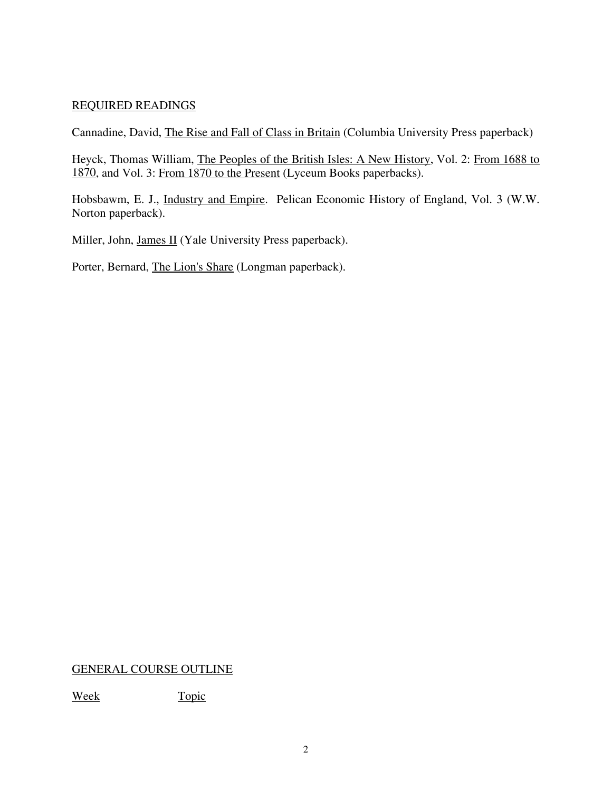# REQUIRED READINGS

Cannadine, David, The Rise and Fall of Class in Britain (Columbia University Press paperback)

Heyck, Thomas William, The Peoples of the British Isles: A New History, Vol. 2: From 1688 to 1870, and Vol. 3: From 1870 to the Present (Lyceum Books paperbacks).

Hobsbawm, E. J., Industry and Empire. Pelican Economic History of England, Vol. 3 (W.W. Norton paperback).

Miller, John, James II (Yale University Press paperback).

Porter, Bernard, The Lion's Share (Longman paperback).

## GENERAL COURSE OUTLINE

Week Topic